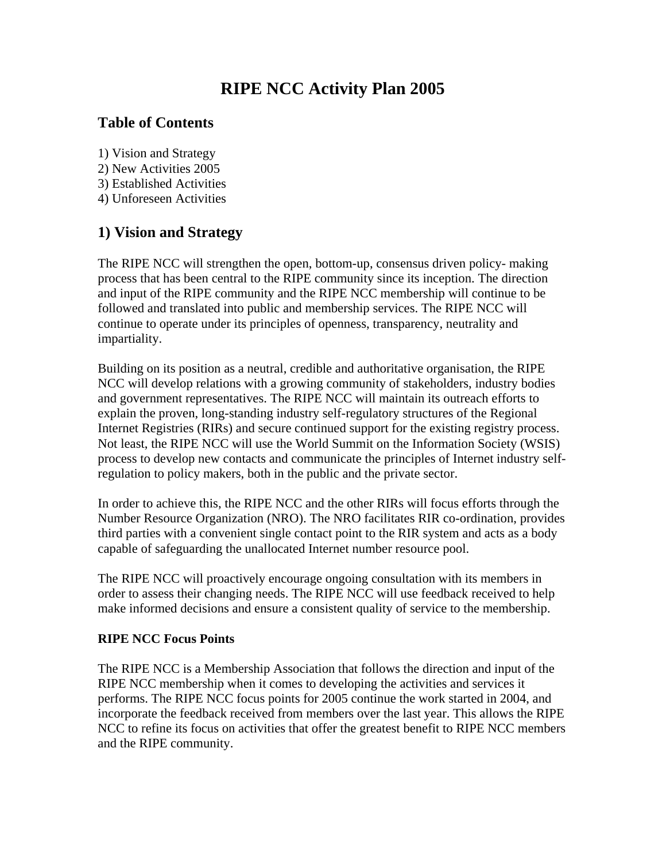# **RIPE NCC Activity Plan 2005**

### **Table of Contents**

- 1) Vision and Strategy
- 2) New Activities 2005
- 3) Established Activities
- 4) Unforeseen Activities

# **1) Vision and Strategy**

The RIPE NCC will strengthen the open, bottom-up, consensus driven policy- making process that has been central to the RIPE community since its inception. The direction and input of the RIPE community and the RIPE NCC membership will continue to be followed and translated into public and membership services. The RIPE NCC will continue to operate under its principles of openness, transparency, neutrality and impartiality.

Building on its position as a neutral, credible and authoritative organisation, the RIPE NCC will develop relations with a growing community of stakeholders, industry bodies and government representatives. The RIPE NCC will maintain its outreach efforts to explain the proven, long-standing industry self-regulatory structures of the Regional Internet Registries (RIRs) and secure continued support for the existing registry process. Not least, the RIPE NCC will use the World Summit on the Information Society (WSIS) process to develop new contacts and communicate the principles of Internet industry selfregulation to policy makers, both in the public and the private sector.

In order to achieve this, the RIPE NCC and the other RIRs will focus efforts through the Number Resource Organization (NRO). The NRO facilitates RIR co-ordination, provides third parties with a convenient single contact point to the RIR system and acts as a body capable of safeguarding the unallocated Internet number resource pool.

The RIPE NCC will proactively encourage ongoing consultation with its members in order to assess their changing needs. The RIPE NCC will use feedback received to help make informed decisions and ensure a consistent quality of service to the membership.

#### **RIPE NCC Focus Points**

The RIPE NCC is a Membership Association that follows the direction and input of the RIPE NCC membership when it comes to developing the activities and services it performs. The RIPE NCC focus points for 2005 continue the work started in 2004, and incorporate the feedback received from members over the last year. This allows the RIPE NCC to refine its focus on activities that offer the greatest benefit to RIPE NCC members and the RIPE community.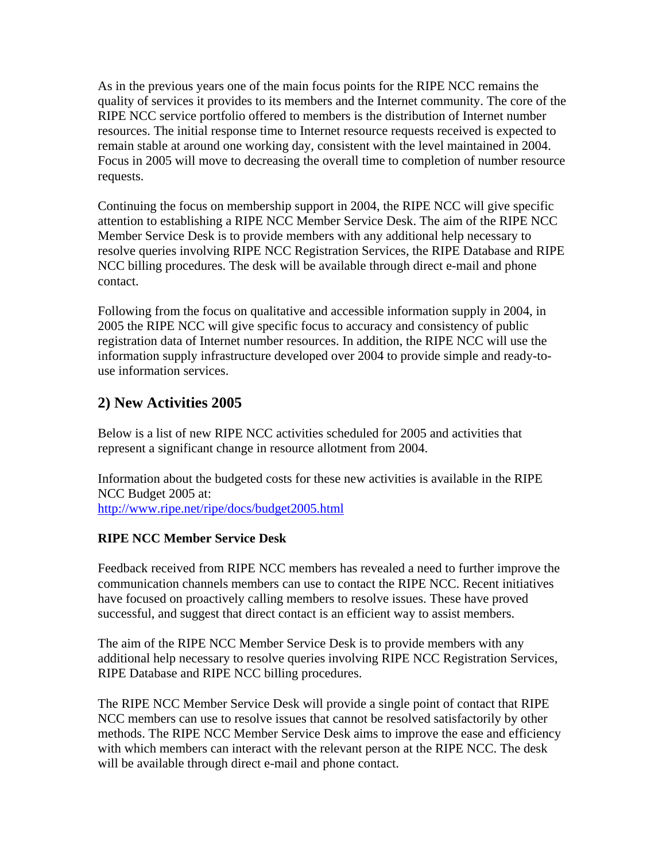As in the previous years one of the main focus points for the RIPE NCC remains the quality of services it provides to its members and the Internet community. The core of the RIPE NCC service portfolio offered to members is the distribution of Internet number resources. The initial response time to Internet resource requests received is expected to remain stable at around one working day, consistent with the level maintained in 2004. Focus in 2005 will move to decreasing the overall time to completion of number resource requests.

Continuing the focus on membership support in 2004, the RIPE NCC will give specific attention to establishing a RIPE NCC Member Service Desk. The aim of the RIPE NCC Member Service Desk is to provide members with any additional help necessary to resolve queries involving RIPE NCC Registration Services, the RIPE Database and RIPE NCC billing procedures. The desk will be available through direct e-mail and phone contact.

Following from the focus on qualitative and accessible information supply in 2004, in 2005 the RIPE NCC will give specific focus to accuracy and consistency of public registration data of Internet number resources. In addition, the RIPE NCC will use the information supply infrastructure developed over 2004 to provide simple and ready-touse information services.

# **2) New Activities 2005**

Below is a list of new RIPE NCC activities scheduled for 2005 and activities that represent a significant change in resource allotment from 2004.

Information about the budgeted costs for these new activities is available in the RIPE NCC Budget 2005 at: <http://www.ripe.net/ripe/docs/budget2005.html>

### **RIPE NCC Member Service Desk**

Feedback received from RIPE NCC members has revealed a need to further improve the communication channels members can use to contact the RIPE NCC. Recent initiatives have focused on proactively calling members to resolve issues. These have proved successful, and suggest that direct contact is an efficient way to assist members.

The aim of the RIPE NCC Member Service Desk is to provide members with any additional help necessary to resolve queries involving RIPE NCC Registration Services, RIPE Database and RIPE NCC billing procedures.

The RIPE NCC Member Service Desk will provide a single point of contact that RIPE NCC members can use to resolve issues that cannot be resolved satisfactorily by other methods. The RIPE NCC Member Service Desk aims to improve the ease and efficiency with which members can interact with the relevant person at the RIPE NCC. The desk will be available through direct e-mail and phone contact.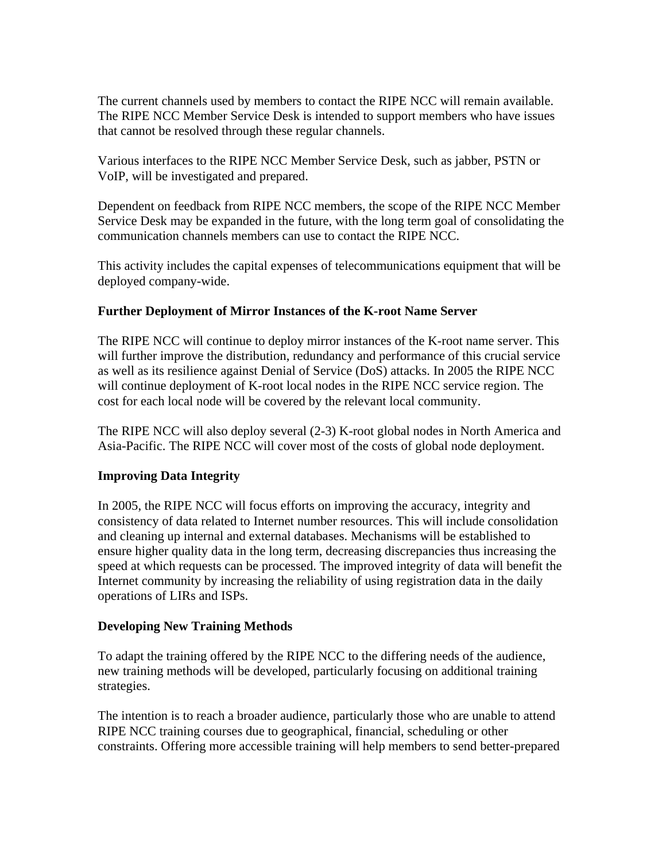The current channels used by members to contact the RIPE NCC will remain available. The RIPE NCC Member Service Desk is intended to support members who have issues that cannot be resolved through these regular channels.

Various interfaces to the RIPE NCC Member Service Desk, such as jabber, PSTN or VoIP, will be investigated and prepared.

Dependent on feedback from RIPE NCC members, the scope of the RIPE NCC Member Service Desk may be expanded in the future, with the long term goal of consolidating the communication channels members can use to contact the RIPE NCC.

This activity includes the capital expenses of telecommunications equipment that will be deployed company-wide.

#### **Further Deployment of Mirror Instances of the K-root Name Server**

The RIPE NCC will continue to deploy mirror instances of the K-root name server. This will further improve the distribution, redundancy and performance of this crucial service as well as its resilience against Denial of Service (DoS) attacks. In 2005 the RIPE NCC will continue deployment of K-root local nodes in the RIPE NCC service region. The cost for each local node will be covered by the relevant local community.

The RIPE NCC will also deploy several (2-3) K-root global nodes in North America and Asia-Pacific. The RIPE NCC will cover most of the costs of global node deployment.

#### **Improving Data Integrity**

In 2005, the RIPE NCC will focus efforts on improving the accuracy, integrity and consistency of data related to Internet number resources. This will include consolidation and cleaning up internal and external databases. Mechanisms will be established to ensure higher quality data in the long term, decreasing discrepancies thus increasing the speed at which requests can be processed. The improved integrity of data will benefit the Internet community by increasing the reliability of using registration data in the daily operations of LIRs and ISPs.

#### **Developing New Training Methods**

To adapt the training offered by the RIPE NCC to the differing needs of the audience, new training methods will be developed, particularly focusing on additional training strategies.

The intention is to reach a broader audience, particularly those who are unable to attend RIPE NCC training courses due to geographical, financial, scheduling or other constraints. Offering more accessible training will help members to send better-prepared